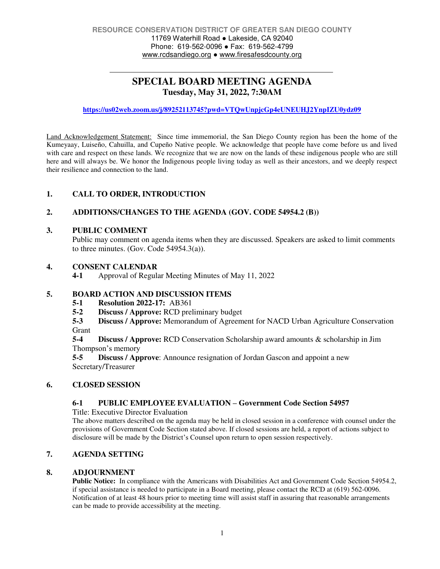# **SPECIAL BOARD MEETING AGENDA Tuesday, May 31, 2022, 7:30AM**

**<https://us02web.zoom.us/j/89252113745?pwd=VTQwUnpjcGp4eUNEUHJ2YnpIZU0ydz09>**

Land Acknowledgement Statement: Since time immemorial, the San Diego County region has been the home of the Kumeyaay, Luiseño, Cahuilla, and Cupeño Native people. We acknowledge that people have come before us and lived with care and respect on these lands. We recognize that we are now on the lands of these indigenous people who are still here and will always be. We honor the Indigenous people living today as well as their ancestors, and we deeply respect their resilience and connection to the land.

# **1. CALL TO ORDER, INTRODUCTION**

#### **2. ADDITIONS/CHANGES TO THE AGENDA (GOV. CODE 54954.2 (B))**

#### **3. PUBLIC COMMENT**

Public may comment on agenda items when they are discussed. Speakers are asked to limit comments to three minutes. (Gov. Code 54954.3(a)).

#### **4. CONSENT CALENDAR**

**4-1** Approval of Regular Meeting Minutes of May 11, 2022

# **5. BOARD ACTION AND DISCUSSION ITEMS**<br>5-1 Resolution 2022-17: AB361

- **5-1 Resolution 2022-17:** AB361
- **5-2 Discuss / Approve:** RCD preliminary budget

**5-3 Discuss / Approve:** Memorandum of Agreement for NACD Urban Agriculture Conservation Grant

**5-4 Discuss / Approve:** RCD Conservation Scholarship award amounts & scholarship in Jim Thompson's memory

**5-5 Discuss / Approve**: Announce resignation of Jordan Gascon and appoint a new Secretary/Treasurer

#### **6. CLOSED SESSION**

# **6-1 PUBLIC EMPLOYEE EVALUATION – Government Code Section 54957**

Title: Executive Director Evaluation

The above matters described on the agenda may be held in closed session in a conference with counsel under the provisions of Government Code Section stated above. If closed sessions are held, a report of actions subject to disclosure will be made by the District's Counsel upon return to open session respectively.

### **7. AGENDA SETTING**

#### **8. ADJOURNMENT**

**Public Notice:** In compliance with the Americans with Disabilities Act and Government Code Section 54954.2, if special assistance is needed to participate in a Board meeting, please contact the RCD at (619) 562-0096. Notification of at least 48 hours prior to meeting time will assist staff in assuring that reasonable arrangements can be made to provide accessibility at the meeting.